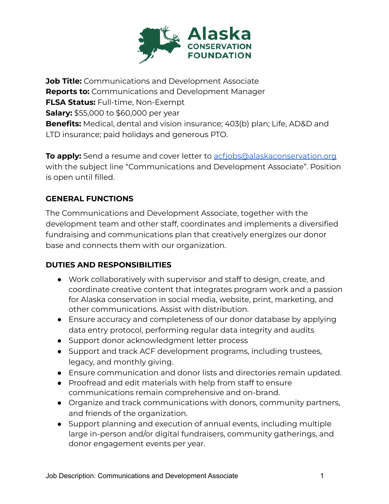

**Job Title:** Communications and Development Associate **Reports to:** Communications and Development Manager **FLSA Status:** Full-time, Non-Exempt **Salary:** \$55,000 to \$60,000 per year **Benefits:** Medical, dental and vision insurance; 403(b) plan; Life, AD&D and LTD insurance; paid holidays and generous PTO.

**To apply:** Send a resume and cover letter to acfiobs@alaskaconservation.org with the subject line "Communications and Development Associate". Position is open until filled.

## **GENERAL FUNCTIONS**

The Communications and Development Associate, together with the development team and other staff, coordinates and implements a diversified fundraising and communications plan that creatively energizes our donor base and connects them with our organization.

## **DUTIES AND RESPONSIBILITIES**

- Work collaboratively with supervisor and staff to design, create, and coordinate creative content that integrates program work and a passion for Alaska conservation in social media, website, print, marketing, and other communications. Assist with distribution.
- Ensure accuracy and completeness of our donor database by applying data entry protocol, performing regular data integrity and audits
- Support donor acknowledgment letter process
- Support and track ACF development programs, including trustees, legacy, and monthly giving.
- Ensure communication and donor lists and directories remain updated.
- Proofread and edit materials with help from staff to ensure communications remain comprehensive and on-brand.
- Organize and track communications with donors, community partners, and friends of the organization.
- Support planning and execution of annual events, including multiple large in-person and/or digital fundraisers, community gatherings, and donor engagement events per year.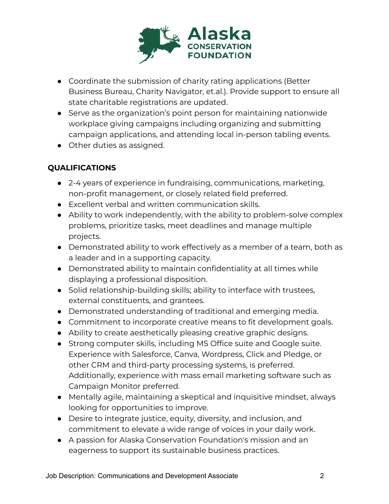

- Coordinate the submission of charity rating applications (Better Business Bureau, Charity Navigator, et.al.). Provide support to ensure all state charitable registrations are updated.
- Serve as the organization's point person for maintaining nationwide workplace giving campaigns including organizing and submitting campaign applications, and attending local in-person tabling events.
- Other duties as assigned.

## **QUALIFICATIONS**

- 2-4 years of experience in fundraising, communications, marketing, non-profit management, or closely related field preferred.
- Excellent verbal and written communication skills.
- Ability to work independently, with the ability to problem-solve complex problems, prioritize tasks, meet deadlines and manage multiple projects.
- Demonstrated ability to work effectively as a member of a team, both as a leader and in a supporting capacity.
- Demonstrated ability to maintain confidentiality at all times while displaying a professional disposition.
- Solid relationship-building skills; ability to interface with trustees, external constituents, and grantees.
- Demonstrated understanding of traditional and emerging media.
- Commitment to incorporate creative means to fit development goals.
- Ability to create aesthetically pleasing creative graphic designs.
- Strong computer skills, including MS Office suite and Google suite. Experience with Salesforce, Canva, Wordpress, Click and Pledge, or other CRM and third-party processing systems, is preferred. Additionally, experience with mass email marketing software such as Campaign Monitor preferred.
- Mentally agile, maintaining a skeptical and inquisitive mindset, always looking for opportunities to improve.
- Desire to integrate justice, equity, diversity, and inclusion, and commitment to elevate a wide range of voices in your daily work.
- A passion for Alaska Conservation Foundation's mission and an eagerness to support its sustainable business practices.